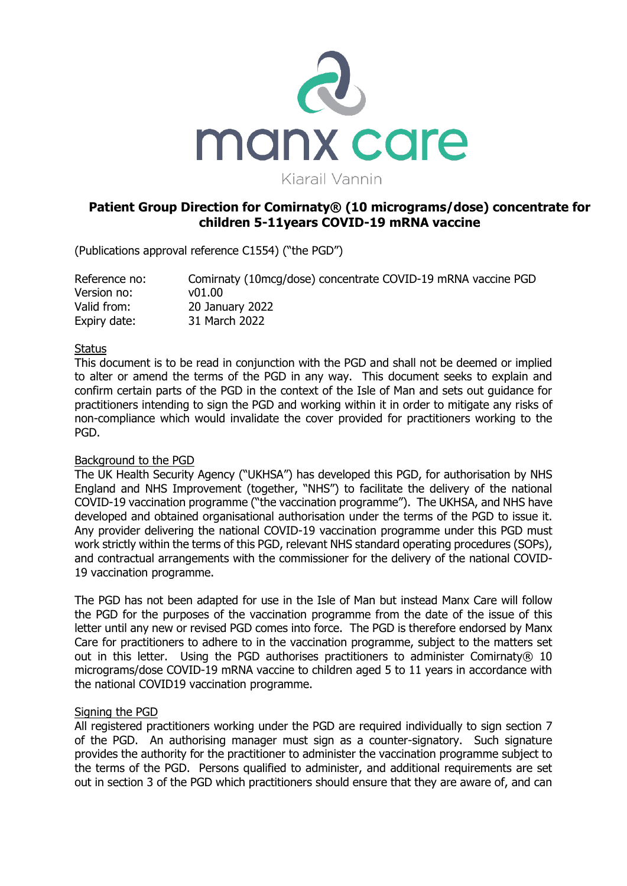

# **Patient Group Direction for Comirnaty® (10 micrograms/dose) concentrate for children 5-11years COVID-19 mRNA vaccine**

(Publications approval reference C1554) ("the PGD")

| Reference no: | Comirnaty (10mcq/dose) concentrate COVID-19 mRNA vaccine PGD |
|---------------|--------------------------------------------------------------|
| Version no:   | v01.00                                                       |
| Valid from:   | 20 January 2022                                              |
| Expiry date:  | 31 March 2022                                                |

## **Status**

This document is to be read in conjunction with the PGD and shall not be deemed or implied to alter or amend the terms of the PGD in any way. This document seeks to explain and confirm certain parts of the PGD in the context of the Isle of Man and sets out guidance for practitioners intending to sign the PGD and working within it in order to mitigate any risks of non-compliance which would invalidate the cover provided for practitioners working to the PGD.

## Background to the PGD

The UK Health Security Agency ("UKHSA") has developed this PGD, for authorisation by NHS England and NHS Improvement (together, "NHS") to facilitate the delivery of the national COVID-19 vaccination programme ("the vaccination programme"). The UKHSA, and NHS have developed and obtained organisational authorisation under the terms of the PGD to issue it. Any provider delivering the national COVID-19 vaccination programme under this PGD must work strictly within the terms of this PGD, relevant NHS standard operating procedures (SOPs), and contractual arrangements with the commissioner for the delivery of the national COVID-19 vaccination programme.

The PGD has not been adapted for use in the Isle of Man but instead Manx Care will follow the PGD for the purposes of the vaccination programme from the date of the issue of this letter until any new or revised PGD comes into force. The PGD is therefore endorsed by Manx Care for practitioners to adhere to in the vaccination programme, subject to the matters set out in this letter. Using the PGD authorises practitioners to administer Comirnaty $@10$ micrograms/dose COVID-19 mRNA vaccine to children aged 5 to 11 years in accordance with the national COVID19 vaccination programme.

## Signing the PGD

All registered practitioners working under the PGD are required individually to sign section 7 of the PGD. An authorising manager must sign as a counter-signatory. Such signature provides the authority for the practitioner to administer the vaccination programme subject to the terms of the PGD. Persons qualified to administer, and additional requirements are set out in section 3 of the PGD which practitioners should ensure that they are aware of, and can